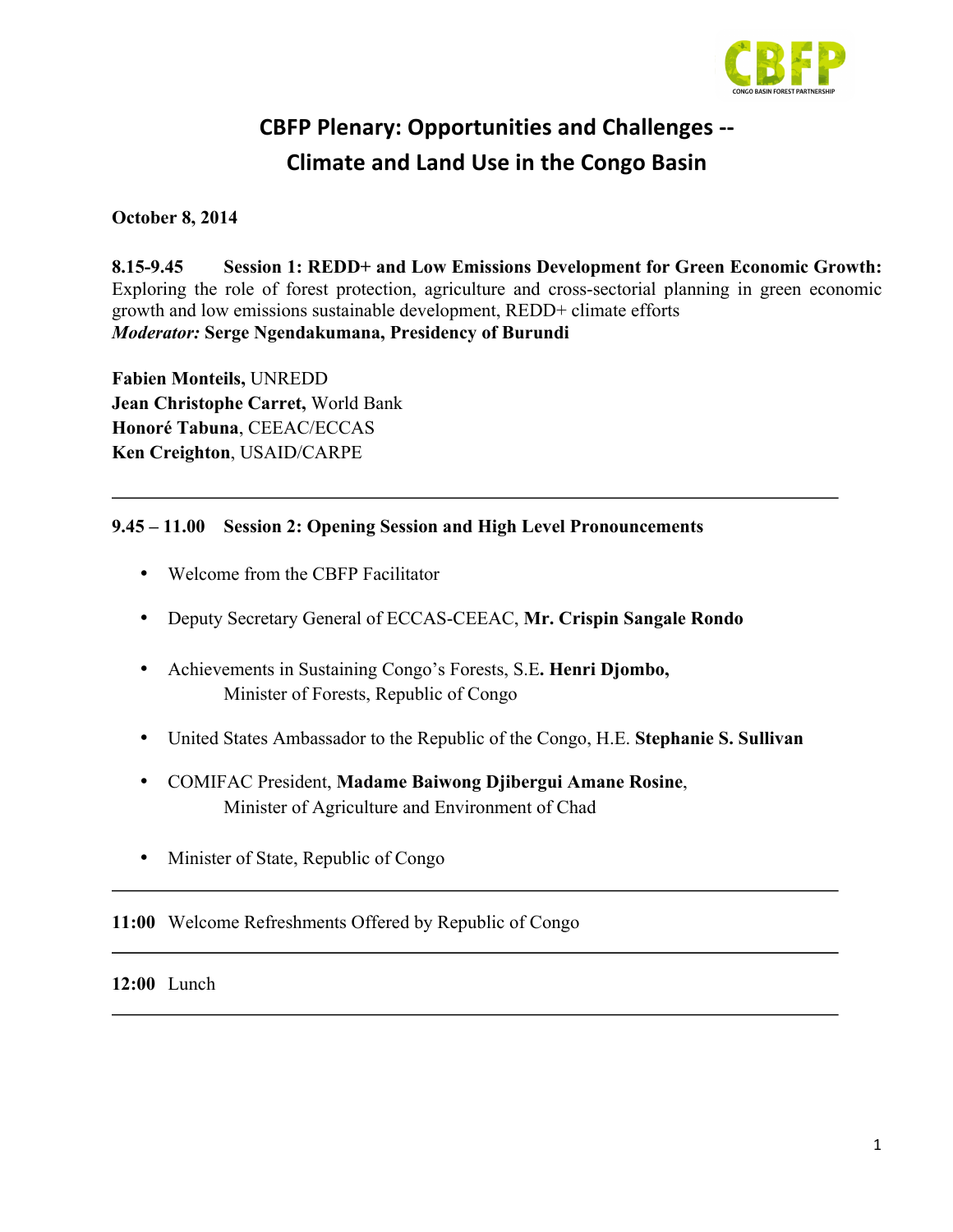

# **CBFP Plenary: Opportunities and Challenges -- Climate and Land Use in the Congo Basin**

**October 8, 2014**

**8.15-9.45 Session 1: REDD+ and Low Emissions Development for Green Economic Growth:**  Exploring the role of forest protection, agriculture and cross-sectorial planning in green economic growth and low emissions sustainable development, REDD+ climate efforts *Moderator:* **Serge Ngendakumana, Presidency of Burundi**

**Fabien Monteils,** UNREDD **Jean Christophe Carret,** World Bank **Honoré Tabuna**, CEEAC/ECCAS **Ken Creighton**, USAID/CARPE

#### **9.45 – 11.00 Session 2: Opening Session and High Level Pronouncements**

- Welcome from the CBFP Facilitator
- Deputy Secretary General of ECCAS-CEEAC, **Mr. Crispin Sangale Rondo**
- Achievements in Sustaining Congo's Forests, S.E**. Henri Djombo,** Minister of Forests, Republic of Congo
- United States Ambassador to the Republic of the Congo, H.E. **Stephanie S. Sullivan**
- COMIFAC President, **Madame Baiwong Djibergui Amane Rosine**, Minister of Agriculture and Environment of Chad
- Minister of State, Republic of Congo

**11:00** Welcome Refreshments Offered by Republic of Congo

**12:00** Lunch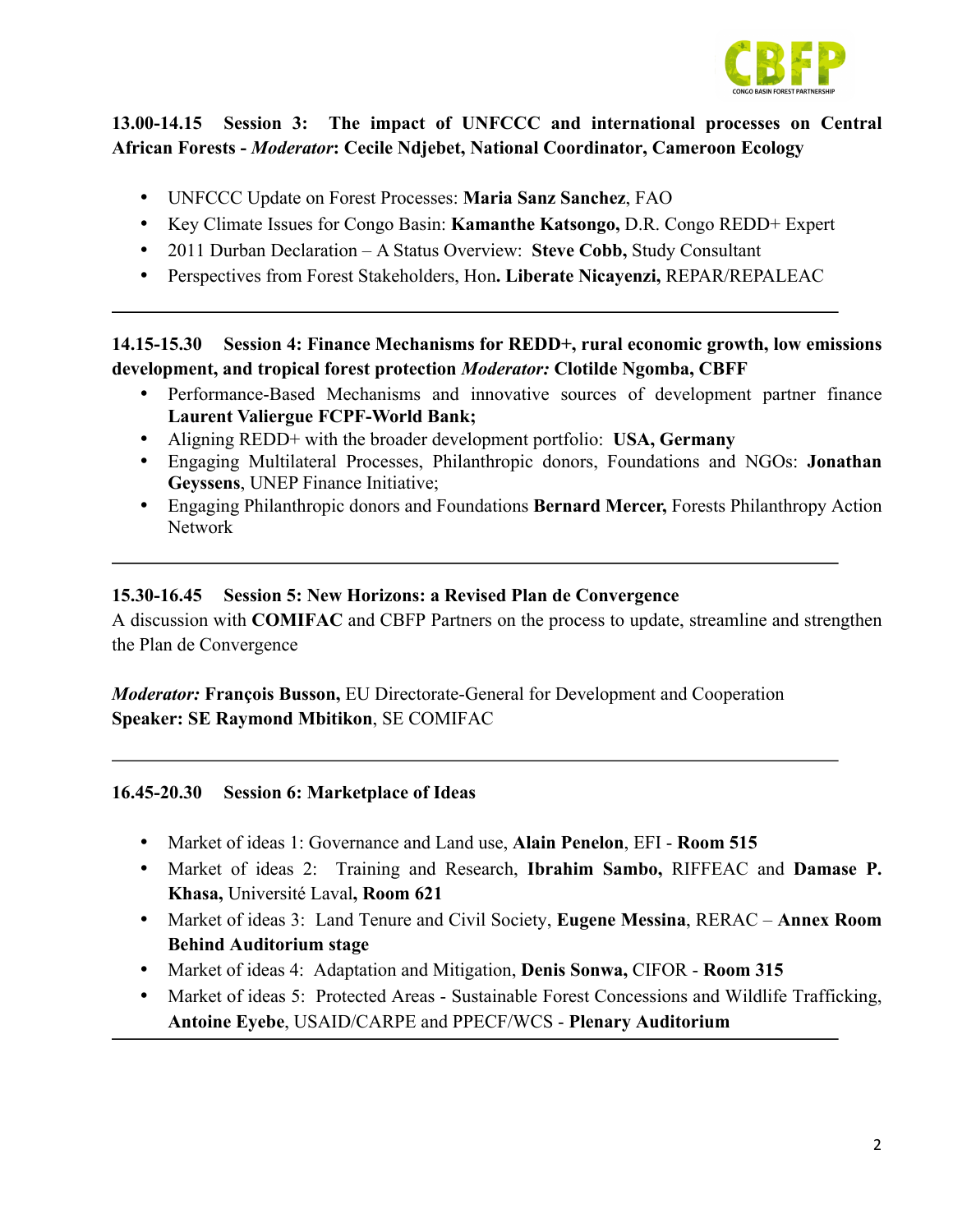

# **13.00-14.15 Session 3: The impact of UNFCCC and international processes on Central African Forests -** *Moderator***: Cecile Ndjebet, National Coordinator, Cameroon Ecology**

- UNFCCC Update on Forest Processes: **Maria Sanz Sanchez**, FAO
- Key Climate Issues for Congo Basin: **Kamanthe Katsongo,** D.R. Congo REDD+ Expert
- 2011 Durban Declaration A Status Overview: **Steve Cobb,** Study Consultant
- Perspectives from Forest Stakeholders, Hon**. Liberate Nicayenzi,** REPAR/REPALEAC

## **14.15-15.30 Session 4: Finance Mechanisms for REDD+, rural economic growth, low emissions development, and tropical forest protection** *Moderator:* **Clotilde Ngomba, CBFF**

- Performance-Based Mechanisms and innovative sources of development partner finance **Laurent Valiergue FCPF-World Bank;**
- Aligning REDD+ with the broader development portfolio: **USA, Germany**
- Engaging Multilateral Processes, Philanthropic donors, Foundations and NGOs: **Jonathan Geyssens**, UNEP Finance Initiative;
- Engaging Philanthropic donors and Foundations **Bernard Mercer,** Forests Philanthropy Action Network

#### **15.30-16.45 Session 5: New Horizons: a Revised Plan de Convergence**

A discussion with **COMIFAC** and CBFP Partners on the process to update, streamline and strengthen the Plan de Convergence

*Moderator:* **François Busson,** EU Directorate-General for Development and Cooperation **Speaker: SE Raymond Mbitikon**, SE COMIFAC

#### **16.45-20.30 Session 6: Marketplace of Ideas**

- Market of ideas 1: Governance and Land use, **Alain Penelon**, EFI **Room 515**
- Market of ideas 2: Training and Research, **Ibrahim Sambo,** RIFFEAC and **Damase P. Khasa,** Université Laval**, Room 621**
- Market of ideas 3: Land Tenure and Civil Society, **Eugene Messina**, RERAC **Annex Room Behind Auditorium stage**
- Market of ideas 4: Adaptation and Mitigation, **Denis Sonwa,** CIFOR **Room 315**
- Market of ideas 5: Protected Areas Sustainable Forest Concessions and Wildlife Trafficking, **Antoine Eyebe**, USAID/CARPE and PPECF/WCS - **Plenary Auditorium**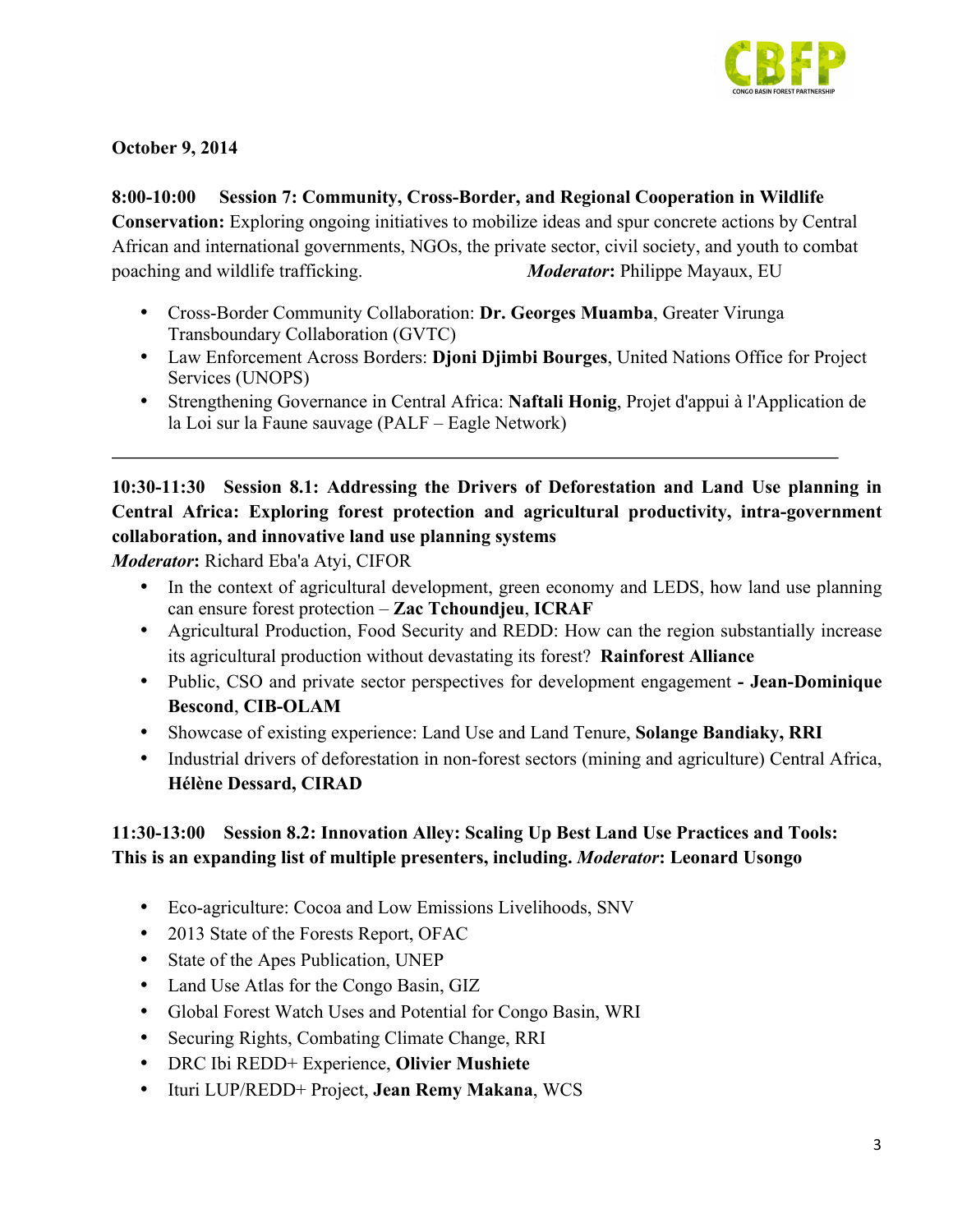

**October 9, 2014**

**8:00-10:00 Session 7: Community, Cross-Border, and Regional Cooperation in Wildlife Conservation:** Exploring ongoing initiatives to mobilize ideas and spur concrete actions by Central African and international governments, NGOs, the private sector, civil society, and youth to combat poaching and wildlife trafficking.*Moderator***:** Philippe Mayaux, EU

- Cross-Border Community Collaboration: **Dr. Georges Muamba**, Greater Virunga Transboundary Collaboration (GVTC)
- Law Enforcement Across Borders: **Djoni Djimbi Bourges**, United Nations Office for Project Services (UNOPS)
- Strengthening Governance in Central Africa: **Naftali Honig**, Projet d'appui à l'Application de la Loi sur la Faune sauvage (PALF – Eagle Network)

**10:30-11:30 Session 8.1: Addressing the Drivers of Deforestation and Land Use planning in Central Africa: Exploring forest protection and agricultural productivity, intra-government collaboration, and innovative land use planning systems** 

*Moderator***:** Richard Eba'a Atyi, CIFOR

- In the context of agricultural development, green economy and LEDS, how land use planning can ensure forest protection – **Zac Tchoundjeu**, **ICRAF**
- Agricultural Production, Food Security and REDD: How can the region substantially increase its agricultural production without devastating its forest? **Rainforest Alliance**
- Public, CSO and private sector perspectives for development engagement **- Jean-Dominique Bescond**, **CIB-OLAM**
- Showcase of existing experience: Land Use and Land Tenure, **Solange Bandiaky, RRI**
- Industrial drivers of deforestation in non-forest sectors (mining and agriculture) Central Africa, **Hélène Dessard, CIRAD**

# **11:30-13:00 Session 8.2: Innovation Alley: Scaling Up Best Land Use Practices and Tools: This is an expanding list of multiple presenters, including.** *Moderator***: Leonard Usongo**

- Eco-agriculture: Cocoa and Low Emissions Livelihoods, SNV
- 2013 State of the Forests Report, OFAC
- State of the Apes Publication, UNEP
- Land Use Atlas for the Congo Basin, GIZ
- Global Forest Watch Uses and Potential for Congo Basin, WRI
- Securing Rights, Combating Climate Change, RRI
- DRC Ibi REDD+ Experience, **Olivier Mushiete**
- Ituri LUP/REDD+ Project, **Jean Remy Makana**, WCS